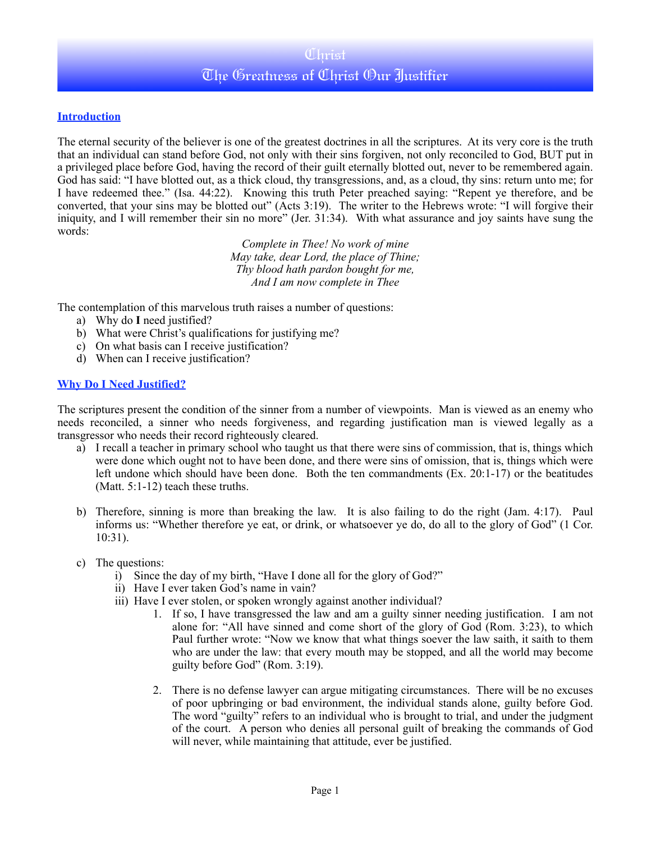# Christ The Greatness of Christ Our Justifier

### **Introduction**

The eternal security of the believer is one of the greatest doctrines in all the scriptures. At its very core is the truth that an individual can stand before God, not only with their sins forgiven, not only reconciled to God, BUT put in a privileged place before God, having the record of their guilt eternally blotted out, never to be remembered again. God has said: "I have blotted out, as a thick cloud, thy transgressions, and, as a cloud, thy sins: return unto me; for I have redeemed thee." (Isa. 44:22). Knowing this truth Peter preached saying: "Repent ye therefore, and be converted, that your sins may be blotted out" (Acts 3:19). The writer to the Hebrews wrote: "I will forgive their iniquity, and I will remember their sin no more" (Jer. 31:34). With what assurance and joy saints have sung the words:

> *Complete in Thee! No work of mine May take, dear Lord, the place of Thine; Thy blood hath pardon bought for me, And I am now complete in Thee*

The contemplation of this marvelous truth raises a number of questions:

- a) Why do **I** need justified?
- b) What were Christ's qualifications for justifying me?
- c) On what basis can I receive justification?
- d) When can I receive justification?

### **Why Do I Need Justified?**

The scriptures present the condition of the sinner from a number of viewpoints. Man is viewed as an enemy who needs reconciled, a sinner who needs forgiveness, and regarding justification man is viewed legally as a transgressor who needs their record righteously cleared.

- a) I recall a teacher in primary school who taught us that there were sins of commission, that is, things which were done which ought not to have been done, and there were sins of omission, that is, things which were left undone which should have been done. Both the ten commandments (Ex. 20:1-17) or the beatitudes (Matt. 5:1-12) teach these truths.
- b) Therefore, sinning is more than breaking the law. It is also failing to do the right (Jam. 4:17). Paul informs us: "Whether therefore ye eat, or drink, or whatsoever ye do, do all to the glory of God" (1 Cor. 10:31).
- c) The questions:
	- i) Since the day of my birth, "Have I done all for the glory of God?"
	- ii) Have I ever taken God's name in vain?
	- iii) Have I ever stolen, or spoken wrongly against another individual?
		- 1. If so, I have transgressed the law and am a guilty sinner needing justification. I am not alone for: "All have sinned and come short of the glory of God (Rom. 3:23), to which Paul further wrote: "Now we know that what things soever the law saith, it saith to them who are under the law: that every mouth may be stopped, and all the world may become guilty before God" (Rom. 3:19).
		- 2. There is no defense lawyer can argue mitigating circumstances. There will be no excuses of poor upbringing or bad environment, the individual stands alone, guilty before God. The word "guilty" refers to an individual who is brought to trial, and under the judgment of the court. A person who denies all personal guilt of breaking the commands of God will never, while maintaining that attitude, ever be justified.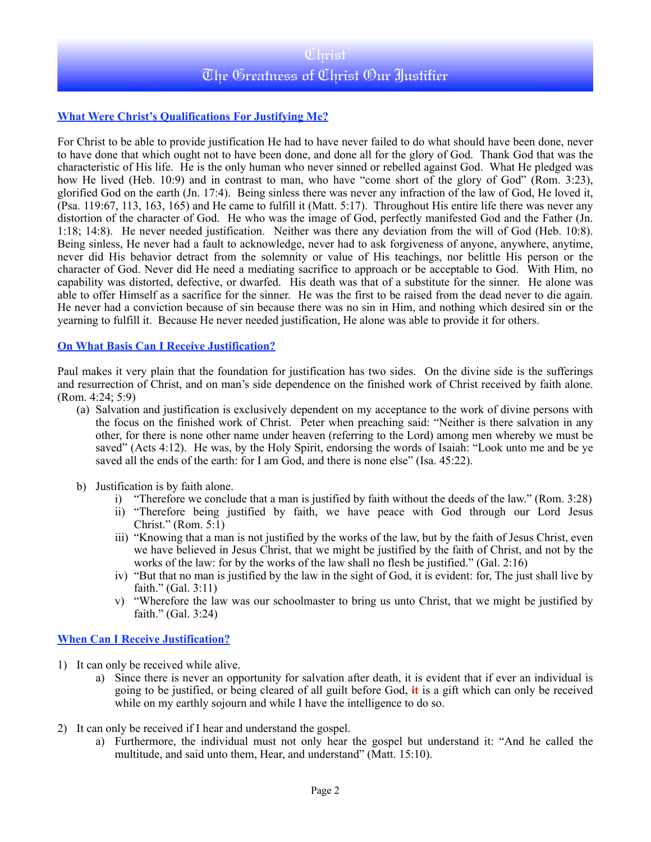# Christ The Greatness of Christ Our Justifier

## **What Were Christ's Qualifications For Justifying Me?**

For Christ to be able to provide justification He had to have never failed to do what should have been done, never to have done that which ought not to have been done, and done all for the glory of God. Thank God that was the characteristic of His life. He is the only human who never sinned or rebelled against God. What He pledged was how He lived (Heb. 10:9) and in contrast to man, who have "come short of the glory of God" (Rom. 3:23), glorified God on the earth (Jn. 17:4). Being sinless there was never any infraction of the law of God, He loved it, (Psa. 119:67, 113, 163, 165) and He came to fulfill it (Matt. 5:17). Throughout His entire life there was never any distortion of the character of God. He who was the image of God, perfectly manifested God and the Father (Jn. 1:18; 14:8). He never needed justification. Neither was there any deviation from the will of God (Heb. 10:8). Being sinless, He never had a fault to acknowledge, never had to ask forgiveness of anyone, anywhere, anytime, never did His behavior detract from the solemnity or value of His teachings, nor belittle His person or the character of God. Never did He need a mediating sacrifice to approach or be acceptable to God. With Him, no capability was distorted, defective, or dwarfed. His death was that of a substitute for the sinner. He alone was able to offer Himself as a sacrifice for the sinner. He was the first to be raised from the dead never to die again. He never had a conviction because of sin because there was no sin in Him, and nothing which desired sin or the yearning to fulfill it. Because He never needed justification, He alone was able to provide it for others.

#### **On What Basis Can I Receive Justification?**

Paul makes it very plain that the foundation for justification has two sides. On the divine side is the sufferings and resurrection of Christ, and on man's side dependence on the finished work of Christ received by faith alone. (Rom. 4:24; 5:9)

- (a) Salvation and justification is exclusively dependent on my acceptance to the work of divine persons with the focus on the finished work of Christ. Peter when preaching said: "Neither is there salvation in any other, for there is none other name under heaven (referring to the Lord) among men whereby we must be saved" (Acts 4:12). He was, by the Holy Spirit, endorsing the words of Isaiah: "Look unto me and be ye saved all the ends of the earth: for I am God, and there is none else" (Isa. 45:22).
- b) Justification is by faith alone.
	- i) "Therefore we conclude that a man is justified by faith without the deeds of the law." (Rom. 3:28)
	- ii) "Therefore being justified by faith, we have peace with God through our Lord Jesus Christ." (Rom. 5:1)
	- iii) "Knowing that a man is not justified by the works of the law, but by the faith of Jesus Christ, even we have believed in Jesus Christ, that we might be justified by the faith of Christ, and not by the works of the law: for by the works of the law shall no flesh be justified." (Gal. 2:16)
	- iv) "But that no man is justified by the law in the sight of God, it is evident: for, The just shall live by faith." (Gal. 3:11)
	- v) "Wherefore the law was our schoolmaster to bring us unto Christ, that we might be justified by faith." (Gal. 3:24)

### **When Can I Receive Justification?**

- 1) It can only be received while alive.
	- a) Since there is never an opportunity for salvation after death, it is evident that if ever an individual is going to be justified, or being cleared of all guilt before God, **it** is a gift which can only be received while on my earthly sojourn and while I have the intelligence to do so.
- 2) It can only be received if I hear and understand the gospel.
	- a) Furthermore, the individual must not only hear the gospel but understand it: "And he called the multitude, and said unto them, Hear, and understand" (Matt. 15:10).